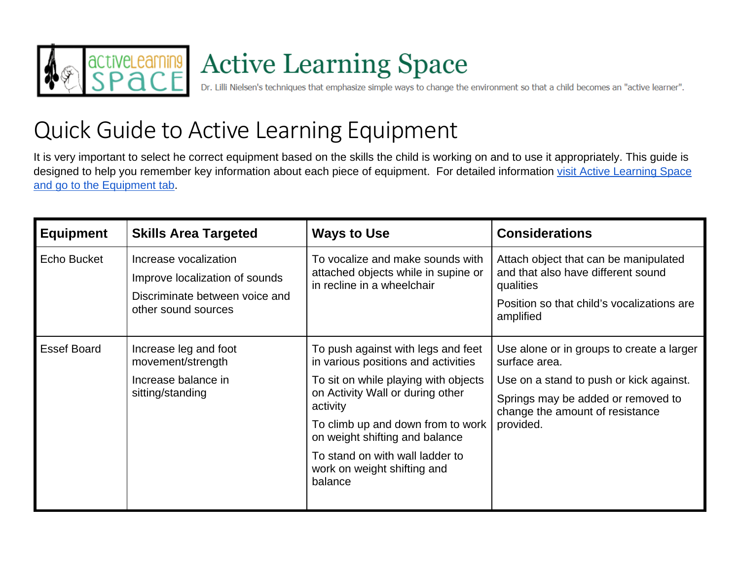

## Active Learning Space<br>Dr. Lilli Nielsen's techniques that emphasize simple ways to change the environment so that a child becomes an "active learner".

## Quick Guide to Active Learning Equipment

It is very important to select he correct equipment based on the skills the child is working on and to use it appropriately. This guide is designed to help you remember key information about each piece of equipment. For detailed information visit Active Learning Space [and go to the Equipment tab.](https://activelearningspace.org/equipment/)

| <b>Equipment</b> | <b>Skills Area Targeted</b>                                                                                      | <b>Ways to Use</b>                                                                                                                                                                                                                                                                                                    | <b>Considerations</b>                                                                                                                                                                       |
|------------------|------------------------------------------------------------------------------------------------------------------|-----------------------------------------------------------------------------------------------------------------------------------------------------------------------------------------------------------------------------------------------------------------------------------------------------------------------|---------------------------------------------------------------------------------------------------------------------------------------------------------------------------------------------|
| Echo Bucket      | Increase vocalization<br>Improve localization of sounds<br>Discriminate between voice and<br>other sound sources | To vocalize and make sounds with<br>attached objects while in supine or<br>in recline in a wheelchair                                                                                                                                                                                                                 | Attach object that can be manipulated<br>and that also have different sound<br>qualities<br>Position so that child's vocalizations are<br>amplified                                         |
| Essef Board      | Increase leg and foot<br>movement/strength<br>Increase balance in<br>sitting/standing                            | To push against with legs and feet<br>in various positions and activities<br>To sit on while playing with objects<br>on Activity Wall or during other<br>activity<br>To climb up and down from to work<br>on weight shifting and balance<br>To stand on with wall ladder to<br>work on weight shifting and<br>balance | Use alone or in groups to create a larger<br>surface area.<br>Use on a stand to push or kick against.<br>Springs may be added or removed to<br>change the amount of resistance<br>provided. |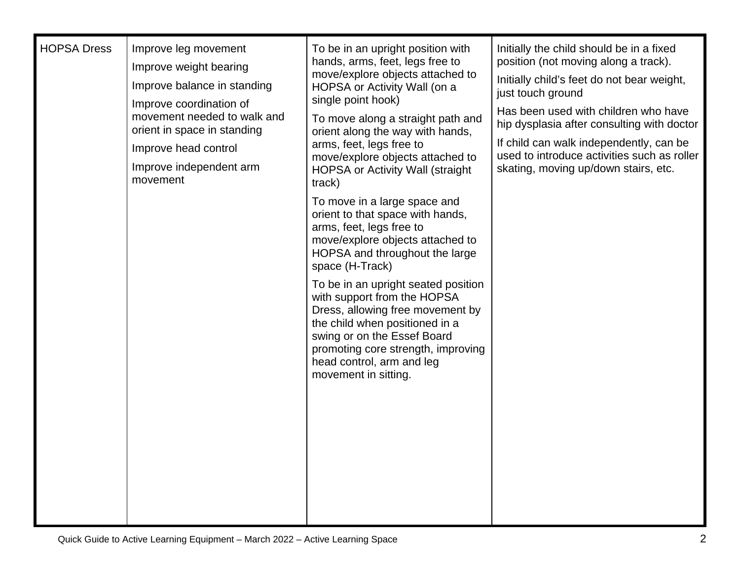| <b>HOPSA Dress</b> | Improve leg movement                                                                  | To be in an upright position with<br>hands, arms, feet, legs free to<br>move/explore objects attached to<br>HOPSA or Activity Wall (on a<br>single point hook)<br>To move along a straight path and<br>orient along the way with hands,<br>arms, feet, legs free to<br>move/explore objects attached to<br><b>HOPSA or Activity Wall (straight)</b><br>track) | Initially the child should be in a fixed<br>position (not moving along a track).                                                                                             |
|--------------------|---------------------------------------------------------------------------------------|---------------------------------------------------------------------------------------------------------------------------------------------------------------------------------------------------------------------------------------------------------------------------------------------------------------------------------------------------------------|------------------------------------------------------------------------------------------------------------------------------------------------------------------------------|
|                    | Improve weight bearing                                                                |                                                                                                                                                                                                                                                                                                                                                               |                                                                                                                                                                              |
|                    | Improve balance in standing                                                           |                                                                                                                                                                                                                                                                                                                                                               | Initially child's feet do not bear weight,<br>just touch ground                                                                                                              |
|                    | Improve coordination of<br>movement needed to walk and<br>orient in space in standing |                                                                                                                                                                                                                                                                                                                                                               | Has been used with children who have                                                                                                                                         |
|                    |                                                                                       |                                                                                                                                                                                                                                                                                                                                                               | hip dysplasia after consulting with doctor<br>If child can walk independently, can be<br>used to introduce activities such as roller<br>skating, moving up/down stairs, etc. |
|                    | Improve head control                                                                  |                                                                                                                                                                                                                                                                                                                                                               |                                                                                                                                                                              |
|                    | Improve independent arm<br>movement                                                   |                                                                                                                                                                                                                                                                                                                                                               |                                                                                                                                                                              |
|                    |                                                                                       | To move in a large space and<br>orient to that space with hands,<br>arms, feet, legs free to<br>move/explore objects attached to<br>HOPSA and throughout the large<br>space (H-Track)                                                                                                                                                                         |                                                                                                                                                                              |
|                    |                                                                                       | To be in an upright seated position<br>with support from the HOPSA<br>Dress, allowing free movement by<br>the child when positioned in a<br>swing or on the Essef Board<br>promoting core strength, improving<br>head control, arm and leg<br>movement in sitting.                                                                                            |                                                                                                                                                                              |
|                    |                                                                                       |                                                                                                                                                                                                                                                                                                                                                               |                                                                                                                                                                              |
|                    |                                                                                       |                                                                                                                                                                                                                                                                                                                                                               |                                                                                                                                                                              |
|                    |                                                                                       |                                                                                                                                                                                                                                                                                                                                                               |                                                                                                                                                                              |
|                    |                                                                                       |                                                                                                                                                                                                                                                                                                                                                               |                                                                                                                                                                              |
|                    |                                                                                       |                                                                                                                                                                                                                                                                                                                                                               |                                                                                                                                                                              |
|                    |                                                                                       |                                                                                                                                                                                                                                                                                                                                                               |                                                                                                                                                                              |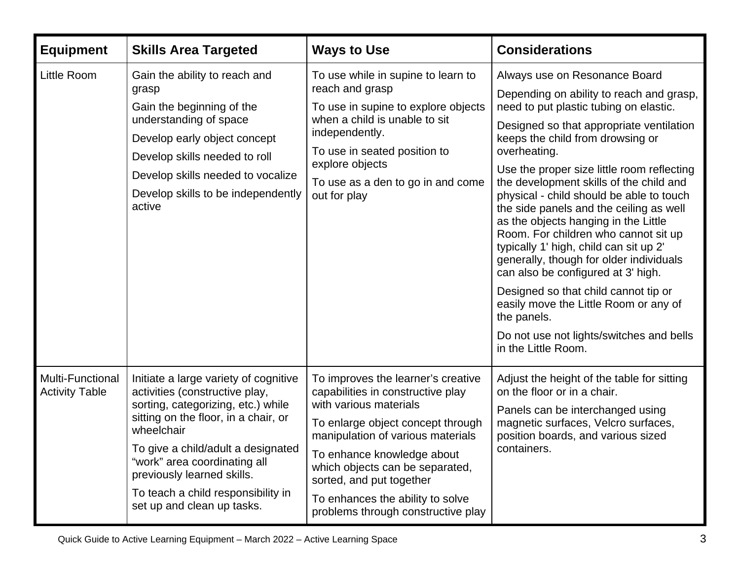| <b>Equipment</b>                                 | <b>Skills Area Targeted</b>                                                                                                                                                                                                                                                                                                                 | <b>Ways to Use</b>                                                                                                                                                                                                                                                                                                                                 | <b>Considerations</b>                                                                                                                                                                                                                                                                                                                                                                                                                                                                                                                                                                                                                                                                                                                                                             |
|--------------------------------------------------|---------------------------------------------------------------------------------------------------------------------------------------------------------------------------------------------------------------------------------------------------------------------------------------------------------------------------------------------|----------------------------------------------------------------------------------------------------------------------------------------------------------------------------------------------------------------------------------------------------------------------------------------------------------------------------------------------------|-----------------------------------------------------------------------------------------------------------------------------------------------------------------------------------------------------------------------------------------------------------------------------------------------------------------------------------------------------------------------------------------------------------------------------------------------------------------------------------------------------------------------------------------------------------------------------------------------------------------------------------------------------------------------------------------------------------------------------------------------------------------------------------|
| <b>Little Room</b>                               | Gain the ability to reach and<br>grasp<br>Gain the beginning of the<br>understanding of space<br>Develop early object concept<br>Develop skills needed to roll<br>Develop skills needed to vocalize<br>Develop skills to be independently<br>active                                                                                         | To use while in supine to learn to<br>reach and grasp<br>To use in supine to explore objects<br>when a child is unable to sit<br>independently.<br>To use in seated position to<br>explore objects<br>To use as a den to go in and come<br>out for play                                                                                            | Always use on Resonance Board<br>Depending on ability to reach and grasp,<br>need to put plastic tubing on elastic.<br>Designed so that appropriate ventilation<br>keeps the child from drowsing or<br>overheating.<br>Use the proper size little room reflecting<br>the development skills of the child and<br>physical - child should be able to touch<br>the side panels and the ceiling as well<br>as the objects hanging in the Little<br>Room. For children who cannot sit up<br>typically 1' high, child can sit up 2'<br>generally, though for older individuals<br>can also be configured at 3' high.<br>Designed so that child cannot tip or<br>easily move the Little Room or any of<br>the panels.<br>Do not use not lights/switches and bells<br>in the Little Room. |
| <b>Multi-Functional</b><br><b>Activity Table</b> | Initiate a large variety of cognitive<br>activities (constructive play,<br>sorting, categorizing, etc.) while<br>sitting on the floor, in a chair, or<br>wheelchair<br>To give a child/adult a designated<br>"work" area coordinating all<br>previously learned skills.<br>To teach a child responsibility in<br>set up and clean up tasks. | To improves the learner's creative<br>capabilities in constructive play<br>with various materials<br>To enlarge object concept through<br>manipulation of various materials<br>To enhance knowledge about<br>which objects can be separated,<br>sorted, and put together<br>To enhances the ability to solve<br>problems through constructive play | Adjust the height of the table for sitting<br>on the floor or in a chair.<br>Panels can be interchanged using<br>magnetic surfaces, Velcro surfaces,<br>position boards, and various sized<br>containers.                                                                                                                                                                                                                                                                                                                                                                                                                                                                                                                                                                         |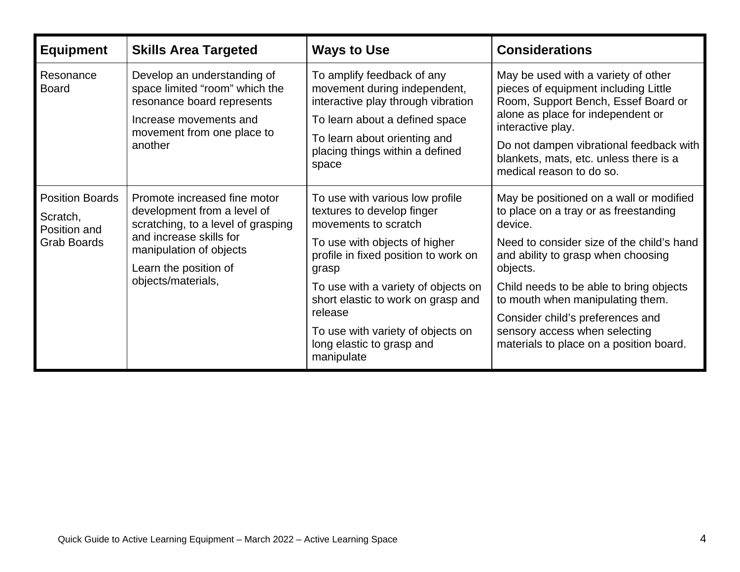| <b>Equipment</b>                                                         | <b>Skills Area Targeted</b>                                                                                                                                                                            | <b>Ways to Use</b>                                                                               | <b>Considerations</b>                                                                                                                                                                                                                                                                         |
|--------------------------------------------------------------------------|--------------------------------------------------------------------------------------------------------------------------------------------------------------------------------------------------------|--------------------------------------------------------------------------------------------------|-----------------------------------------------------------------------------------------------------------------------------------------------------------------------------------------------------------------------------------------------------------------------------------------------|
| Resonance<br><b>Board</b>                                                | Develop an understanding of<br>space limited "room" which the<br>resonance board represents                                                                                                            | To amplify feedback of any<br>movement during independent,<br>interactive play through vibration | May be used with a variety of other<br>pieces of equipment including Little<br>Room, Support Bench, Essef Board or<br>alone as place for independent or<br>interactive play.<br>Do not dampen vibrational feedback with<br>blankets, mats, etc. unless there is a<br>medical reason to do so. |
|                                                                          | Increase movements and<br>movement from one place to<br>another                                                                                                                                        | To learn about a defined space                                                                   |                                                                                                                                                                                                                                                                                               |
|                                                                          |                                                                                                                                                                                                        | To learn about orienting and<br>placing things within a defined<br>space                         |                                                                                                                                                                                                                                                                                               |
| <b>Position Boards</b><br>Scratch,<br>Position and<br><b>Grab Boards</b> | Promote increased fine motor<br>development from a level of<br>scratching, to a level of grasping<br>and increase skills for<br>manipulation of objects<br>Learn the position of<br>objects/materials, | To use with various low profile<br>textures to develop finger<br>movements to scratch            | May be positioned on a wall or modified<br>to place on a tray or as freestanding<br>device.                                                                                                                                                                                                   |
|                                                                          |                                                                                                                                                                                                        | To use with objects of higher<br>profile in fixed position to work on<br>grasp                   | Need to consider size of the child's hand<br>and ability to grasp when choosing<br>objects.                                                                                                                                                                                                   |
|                                                                          |                                                                                                                                                                                                        | To use with a variety of objects on<br>short elastic to work on grasp and<br>release             | Child needs to be able to bring objects<br>to mouth when manipulating them.<br>Consider child's preferences and<br>sensory access when selecting<br>materials to place on a position board.                                                                                                   |
|                                                                          |                                                                                                                                                                                                        | To use with variety of objects on<br>long elastic to grasp and<br>manipulate                     |                                                                                                                                                                                                                                                                                               |